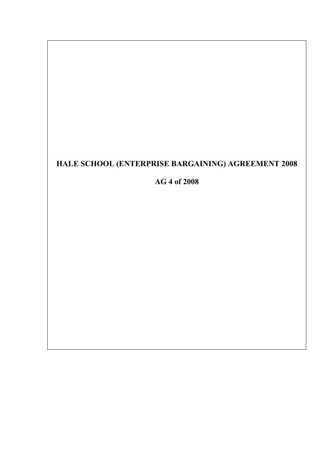# **HALE SCHOOL (ENTERPRISE BARGAINING) AGREEMENT 2008**

**AG 4 of 2008**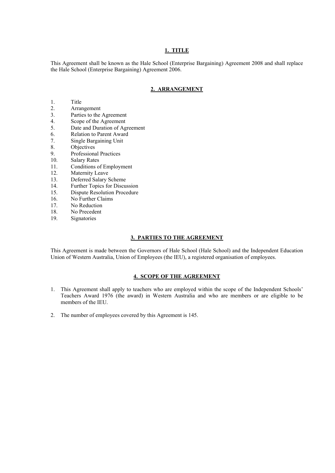#### **1. TITLE**

This Agreement shall be known as the Hale School (Enterprise Bargaining) Agreement 2008 and shall replace the Hale School (Enterprise Bargaining) Agreement 2006.

# **2. ARRANGEMENT**

- 1. Title
- 2. Arrangement<br>3. Parties to the
- Parties to the Agreement
- 4. Scope of the Agreement
- 5. Date and Duration of Agreement
- 6. Relation to Parent Award
- 7. Single Bargaining Unit
- 8. Objectives
- 9. Professional Practices
- 10. Salary Rates
- 11. Conditions of Employment
- 12. Maternity Leave
- 13. Deferred Salary Scheme
- 14. Further Topics for Discussion
- 15. Dispute Resolution Procedure
- 16. No Further Claims
- 17. No Reduction
- 18. No Precedent
- 19. Signatories

#### **3. PARTIES TO THE AGREEMENT**

This Agreement is made between the Governors of Hale School (Hale School) and the Independent Education Union of Western Australia, Union of Employees (the IEU), a registered organisation of employees.

#### **4. SCOPE OF THE AGREEMENT**

- 1. This Agreement shall apply to teachers who are employed within the scope of the Independent Schools' Teachers Award 1976 (the award) in Western Australia and who are members or are eligible to be members of the IEU.
- 2. The number of employees covered by this Agreement is 145.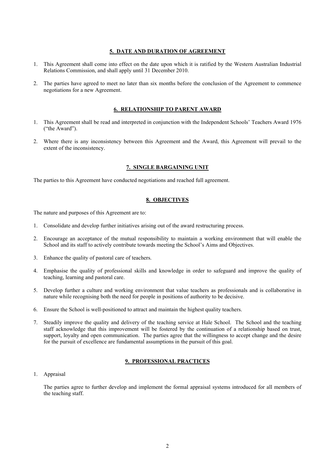#### **5. DATE AND DURATION OF AGREEMENT**

- 1. This Agreement shall come into effect on the date upon which it is ratified by the Western Australian Industrial Relations Commission, and shall apply until 31 December 2010.
- 2. The parties have agreed to meet no later than six months before the conclusion of the Agreement to commence negotiations for a new Agreement.

## **6. RELATIONSHIP TO PARENT AWARD**

- 1. This Agreement shall be read and interpreted in conjunction with the Independent Schools' Teachers Award 1976 ("the Award").
- 2. Where there is any inconsistency between this Agreement and the Award, this Agreement will prevail to the extent of the inconsistency.

#### **7. SINGLE BARGAINING UNIT**

The parties to this Agreement have conducted negotiations and reached full agreement.

#### **8. OBJECTIVES**

The nature and purposes of this Agreement are to:

- 1. Consolidate and develop further initiatives arising out of the award restructuring process.
- 2. Encourage an acceptance of the mutual responsibility to maintain a working environment that will enable the School and its staff to actively contribute towards meeting the School's Aims and Objectives.
- 3. Enhance the quality of pastoral care of teachers.
- 4. Emphasise the quality of professional skills and knowledge in order to safeguard and improve the quality of teaching, learning and pastoral care.
- 5. Develop further a culture and working environment that value teachers as professionals and is collaborative in nature while recognising both the need for people in positions of authority to be decisive.
- 6. Ensure the School is well-positioned to attract and maintain the highest quality teachers.
- 7. Steadily improve the quality and delivery of the teaching service at Hale School. The School and the teaching staff acknowledge that this improvement will be fostered by the continuation of a relationship based on trust, support, loyalty and open communication. The parties agree that the willingness to accept change and the desire for the pursuit of excellence are fundamental assumptions in the pursuit of this goal.

#### **9. PROFESSIONAL PRACTICES**

1. Appraisal

The parties agree to further develop and implement the formal appraisal systems introduced for all members of the teaching staff.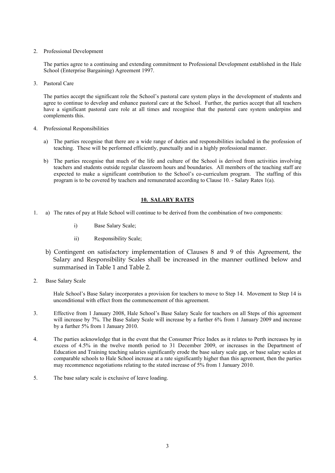#### 2. Professional Development

The parties agree to a continuing and extending commitment to Professional Development established in the Hale School (Enterprise Bargaining) Agreement 1997.

3. Pastoral Care

The parties accept the significant role the School's pastoral care system plays in the development of students and agree to continue to develop and enhance pastoral care at the School. Further, the parties accept that all teachers have a significant pastoral care role at all times and recognise that the pastoral care system underpins and complements this.

- 4. Professional Responsibilities
	- a) The parties recognise that there are a wide range of duties and responsibilities included in the profession of teaching. These will be performed efficiently, punctually and in a highly professional manner.
	- b) The parties recognise that much of the life and culture of the School is derived from activities involving teachers and students outside regular classroom hours and boundaries. All members of the teaching staff are expected to make a significant contribution to the School's co-curriculum program. The staffing of this program is to be covered by teachers and remunerated according to Clause 10. - Salary Rates 1(a).

#### **10. SALARY RATES**

- 1. a) The rates of pay at Hale School will continue to be derived from the combination of two components:
	- i) Base Salary Scale;
	- ii) Responsibility Scale;
	- b) Contingent on satisfactory implementation of Clauses 8 and 9 of this Agreement, the Salary and Responsibility Scales shall be increased in the manner outlined below and summarised in Table 1 and Table 2.
- 2. Base Salary Scale

Hale School's Base Salary incorporates a provision for teachers to move to Step 14. Movement to Step 14 is unconditional with effect from the commencement of this agreement.

- 3. Effective from 1 January 2008, Hale School's Base Salary Scale for teachers on all Steps of this agreement will increase by 7%. The Base Salary Scale will increase by a further 6% from 1 January 2009 and increase by a further 5% from 1 January 2010.
- 4. The parties acknowledge that in the event that the Consumer Price Index as it relates to Perth increases by in excess of 4.5% in the twelve month period to 31 December 2009, or increases in the Department of Education and Training teaching salaries significantly erode the base salary scale gap, or base salary scales at comparable schools to Hale School increase at a rate significantly higher than this agreement, then the parties may recommence negotiations relating to the stated increase of 5% from 1 January 2010.
- 5. The base salary scale is exclusive of leave loading.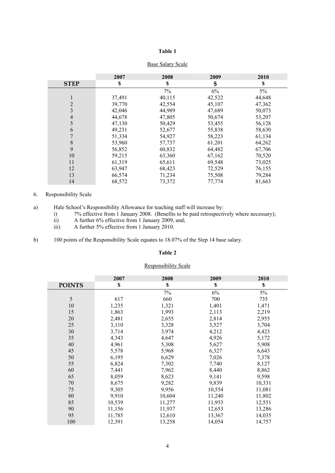## **Table 1**

|                | 2007   | 2008   | 2009   | 2010   |
|----------------|--------|--------|--------|--------|
| <b>STEP</b>    | \$     | \$     | \$     | \$     |
|                |        | 7%     | 6%     | 5%     |
| 1              | 37,491 | 40,115 | 42,522 | 44,648 |
| $\overline{2}$ | 39,770 | 42,554 | 45,107 | 47,362 |
| 3              | 42,046 | 44,989 | 47,689 | 50,073 |
| $\overline{4}$ | 44,678 | 47,805 | 50,674 | 53,207 |
| 5              | 47,130 | 50,429 | 53,455 | 56,128 |
| 6              | 49,231 | 52,677 | 55,838 | 58,630 |
|                | 51,334 | 54,927 | 58,223 | 61,134 |
| 8              | 53,960 | 57,737 | 61,201 | 64,262 |
| 9              | 56,852 | 60,832 | 64,482 | 67,706 |
| 10             | 59,215 | 63,360 | 67,162 | 70,520 |
| 11             | 61,319 | 65,611 | 69,548 | 73,025 |
| 12             | 63,947 | 68,423 | 72,529 | 76,155 |
| 13             | 66,574 | 71,234 | 75,508 | 79,284 |
| 14             | 68,572 | 73,372 | 77,774 | 81,663 |

# Base Salary Scale

# 6. Responsibility Scale

- i) 7% effective from 1 January 2008. (Benefits to be paid retrospectively where necessary);
- ii) A further 6% effective from 1 January 2009, and;
- iii) A further 5% effective from 1 January 2010.
- b) 100 points of the Responsibility Scale equates to 18.07% of the Step 14 base salary.

#### **Table 2**

# Responsibility Scale

|               | 2007   | 2008   | 2009   | 2010   |
|---------------|--------|--------|--------|--------|
| <b>POINTS</b> | \$     | \$     | \$     | \$     |
|               |        | 7%     | 6%     | 5%     |
| 5             | 617    | 660    | 700    | 735    |
| 10            | 1,235  | 1,321  | 1,401  | 1,471  |
| 15            | 1,863  | 1,993  | 2,113  | 2,219  |
| 20            | 2,481  | 2,655  | 2,814  | 2,955  |
| 25            | 3,110  | 3,328  | 3,527  | 3,704  |
| 30            | 3,714  | 3,974  | 4,212  | 4,423  |
| 35            | 4,343  | 4,647  | 4,926  | 5,172  |
| 40            | 4,961  | 5,308  | 5,627  | 5,908  |
| 45            | 5,578  | 5,968  | 6,327  | 6,643  |
| 50            | 6,195  | 6,629  | 7,026  | 7,378  |
| 55            | 6,824  | 7,302  | 7,740  | 8,127  |
| 60            | 7,441  | 7,962  | 8,440  | 8,862  |
| 65            | 8,059  | 8,623  | 9,141  | 9,598  |
| 70            | 8,675  | 9,282  | 9,839  | 10,331 |
| 75            | 9,305  | 9,956  | 10,554 | 11,081 |
| 80            | 9,910  | 10,604 | 11,240 | 11,802 |
| 85            | 10,539 | 11,277 | 11,953 | 12,551 |
| 90            | 11,156 | 11,937 | 12,653 | 13,286 |
| 95            | 11,785 | 12,610 | 13,367 | 14,035 |
| 100           | 12,391 | 13,258 | 14,054 | 14,757 |

a) Hale School's Responsibility Allowance for teaching staff will increase by: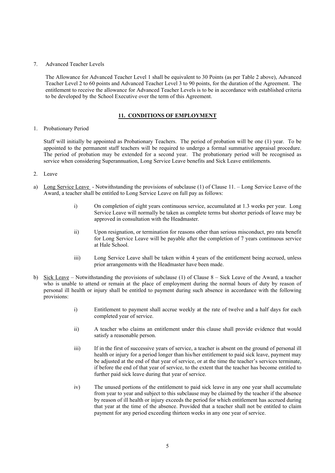#### 7. Advanced Teacher Levels

The Allowance for Advanced Teacher Level 1 shall be equivalent to 30 Points (as per Table 2 above), Advanced Teacher Level 2 to 60 points and Advanced Teacher Level 3 to 90 points, for the duration of the Agreement. The entitlement to receive the allowance for Advanced Teacher Levels is to be in accordance with established criteria to be developed by the School Executive over the term of this Agreement.

## **11. CONDITIONS OF EMPLOYMENT**

#### 1. Probationary Period

Staff will initially be appointed as Probationary Teachers. The period of probation will be one (1) year. To be appointed to the permanent staff teachers will be required to undergo a formal summative appraisal procedure. The period of probation may be extended for a second year. The probationary period will be recognised as service when considering Superannuation, Long Service Leave benefits and Sick Leave entitlements.

#### 2. Leave

- a) Long Service Leave Notwithstanding the provisions of subclause (1) of Clause 11. Long Service Leave of the Award, a teacher shall be entitled to Long Service Leave on full pay as follows:
	- i) On completion of eight years continuous service, accumulated at 1.3 weeks per year. Long Service Leave will normally be taken as complete terms but shorter periods of leave may be approved in consultation with the Headmaster.
	- ii) Upon resignation, or termination for reasons other than serious misconduct, pro rata benefit for Long Service Leave will be payable after the completion of 7 years continuous service at Hale School.
	- iii) Long Service Leave shall be taken within 4 years of the entitlement being accrued, unless prior arrangements with the Headmaster have been made.
- b) Sick Leave Notwithstanding the provisions of subclause (1) of Clause 8 Sick Leave of the Award, a teacher who is unable to attend or remain at the place of employment during the normal hours of duty by reason of personal ill health or injury shall be entitled to payment during such absence in accordance with the following provisions:
	- i) Entitlement to payment shall accrue weekly at the rate of twelve and a half days for each completed year of service.
	- ii) A teacher who claims an entitlement under this clause shall provide evidence that would satisfy a reasonable person.
	- iii) If in the first of successive years of service, a teacher is absent on the ground of personal ill health or injury for a period longer than his/her entitlement to paid sick leave, payment may be adjusted at the end of that year of service, or at the time the teacher's services terminate, if before the end of that year of service, to the extent that the teacher has become entitled to further paid sick leave during that year of service.
	- iv) The unused portions of the entitlement to paid sick leave in any one year shall accumulate from year to year and subject to this subclause may be claimed by the teacher if the absence by reason of ill health or injury exceeds the period for which entitlement has accrued during that year at the time of the absence. Provided that a teacher shall not be entitled to claim payment for any period exceeding thirteen weeks in any one year of service.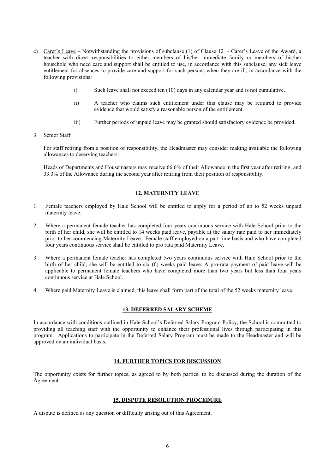- c) Carer's Leave Notwithstanding the provisions of subclause (1) of Clause 12 Carer's Leave of the Award, a teacher with direct responsibilities to either members of his/her immediate family or members of his/her household who need care and support shall be entitled to use, in accordance with this subclause, any sick leave entitlement for absences to provide care and support for such persons when they are ill, in accordance with the following provisions:
	- i) Such leave shall not exceed ten (10) days in any calendar year and is not cumulative.
	- ii) A teacher who claims such entitlement under this clause may be required to provide evidence that would satisfy a reasonable person of the entitlement.
	- iii) Further periods of unpaid leave may be granted should satisfactory evidence be provided.
- 3. Senior Staff

For staff retiring from a position of responsibility, the Headmaster may consider making available the following allowances to deserving teachers:

Heads of Departments and Housemasters may receive 66.6% of their Allowance in the first year after retiring, and 33.3% of the Allowance during the second year after retiring from their position of responsibility.

# **12. MATERNITY LEAVE**

- 1. Female teachers employed by Hale School will be entitled to apply for a period of up to 52 weeks unpaid maternity leave.
- 2. Where a permanent female teacher has completed four years continuous service with Hale School prior to the birth of her child, she will be entitled to 14 weeks paid leave, payable at the salary rate paid to her immediately prior to her commencing Maternity Leave. Female staff employed on a part time basis and who have completed four years continuous service shall be entitled to pro rata paid Maternity Leave.
- 3. Where a permanent female teacher has completed two years continuous service with Hale School prior to the birth of her child, she will be entitled to six (6) weeks paid leave. A pro-rata payment of paid leave will be applicable to permanent female teachers who have completed more than two years but less than four years continuous service at Hale School.
- 4. Where paid Maternity Leave is claimed, this leave shall form part of the total of the 52 weeks maternity leave.

#### **13. DEFERRED SALARY SCHEME**

In accordance with conditions outlined in Hale School's Deferred Salary Program Policy, the School is committed to providing all teaching staff with the opportunity to enhance their professional lives through participating in this program. Applications to participate in the Deferred Salary Program must be made to the Headmaster and will be approved on an individual basis.

#### **14. FURTHER TOPICS FOR DISCUSSION**

The opportunity exists for further topics, as agreed to by both parties, to be discussed during the duration of the Agreement.

#### **15. DISPUTE RESOLUTION PROCEDURE**

A dispute is defined as any question or difficulty arising out of this Agreement.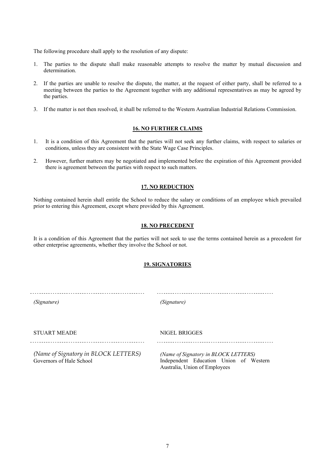The following procedure shall apply to the resolution of any dispute:

- 1. The parties to the dispute shall make reasonable attempts to resolve the matter by mutual discussion and determination.
- 2. If the parties are unable to resolve the dispute, the matter, at the request of either party, shall be referred to a meeting between the parties to the Agreement together with any additional representatives as may be agreed by the parties.
- 3. If the matter is not then resolved, it shall be referred to the Western Australian Industrial Relations Commission.

#### **16. NO FURTHER CLAIMS**

- 1. It is a condition of this Agreement that the parties will not seek any further claims, with respect to salaries or conditions, unless they are consistent with the State Wage Case Principles.
- 2. However, further matters may be negotiated and implemented before the expiration of this Agreement provided there is agreement between the parties with respect to such matters.

#### **17. NO REDUCTION**

Nothing contained herein shall entitle the School to reduce the salary or conditions of an employee which prevailed prior to entering this Agreement, except where provided by this Agreement.

#### **18. NO PRECEDENT**

It is a condition of this Agreement that the parties will not seek to use the terms contained herein as a precedent for other enterprise agreements, whether they involve the School or not.

## **19. SIGNATORIES**

*(Signature) (Signature)*

STUART MEADE NIGEL BRIGGES

*(Name of Signatory in BLOCK LETTERS)* Governors of Hale School

*(Name of Signatory in BLOCK LETTERS)* Independent Education Union of Western Australia, Union of Employees